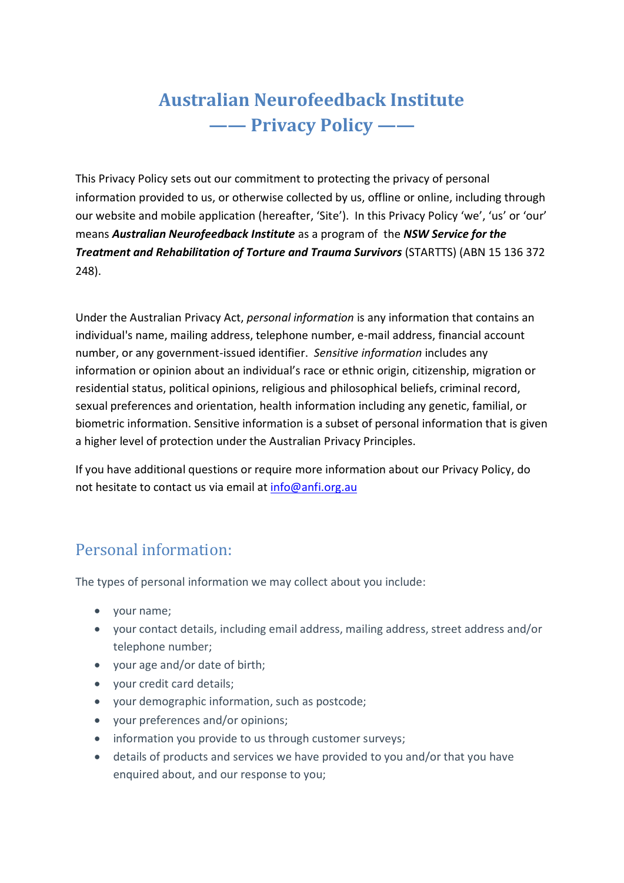# **Australian Neurofeedback Institute —— Privacy Policy ——**

This Privacy Policy sets out our commitment to protecting the privacy of personal information provided to us, or otherwise collected by us, offline or online, including through our website and mobile application (hereafter, 'Site'). In this Privacy Policy 'we', 'us' or 'our' means *Australian Neurofeedback Institute* as a program of the *NSW Service for the Treatment and Rehabilitation of Torture and Trauma Survivors* (STARTTS) (ABN 15 136 372 248).

Under the Australian Privacy Act, *personal information* is any information that contains an individual's name, mailing address, telephone number, e-mail address, financial account number, or any government-issued identifier. *Sensitive information* includes any information or opinion about an individual's race or ethnic origin, citizenship, migration or residential status, political opinions, religious and philosophical beliefs, criminal record, sexual preferences and orientation, health information including any genetic, familial, or biometric information. Sensitive information is a subset of personal information that is given a higher level of protection under the Australian Privacy Principles.

If you have additional questions or require more information about our Privacy Policy, do not hesitate to contact us via email at [info@anfi.org.au](mailto:info@anfi.org.au)

### Personal information:

The types of personal information we may collect about you include:

- your name;
- your contact details, including email address, mailing address, street address and/or telephone number;
- your age and/or date of birth;
- your credit card details;
- your demographic information, such as postcode;
- your preferences and/or opinions;
- information you provide to us through customer surveys;
- details of products and services we have provided to you and/or that you have enquired about, and our response to you;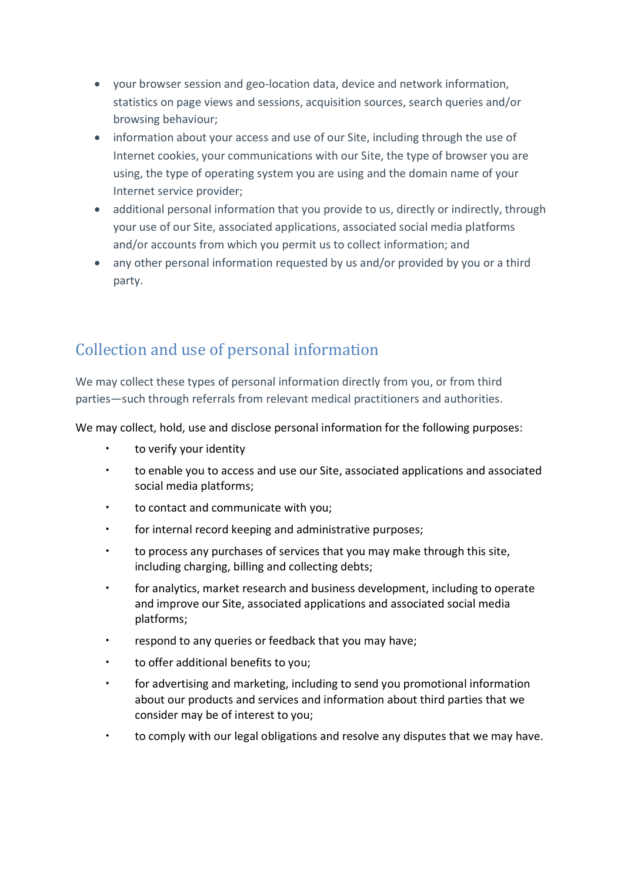- your browser session and geo-location data, device and network information, statistics on page views and sessions, acquisition sources, search queries and/or browsing behaviour;
- information about your access and use of our Site, including through the use of Internet cookies, your communications with our Site, the type of browser you are using, the type of operating system you are using and the domain name of your Internet service provider;
- additional personal information that you provide to us, directly or indirectly, through your use of our Site, associated applications, associated social media platforms and/or accounts from which you permit us to collect information; and
- any other personal information requested by us and/or provided by you or a third party.

## Collection and use of personal information

We may collect these types of personal information directly from you, or from third parties—such through referrals from relevant medical practitioners and authorities.

We may collect, hold, use and disclose personal information for the following purposes:

- to verify your identity
- to enable you to access and use our Site, associated applications and associated social media platforms;
- to contact and communicate with you;
- for internal record keeping and administrative purposes;
- to process any purchases of services that you may make through this site, including charging, billing and collecting debts;
- for analytics, market research and business development, including to operate and improve our Site, associated applications and associated social media platforms;
- respond to any queries or feedback that you may have;
- to offer additional benefits to you;
- for advertising and marketing, including to send you promotional information about our products and services and information about third parties that we consider may be of interest to you;
- to comply with our legal obligations and resolve any disputes that we may have.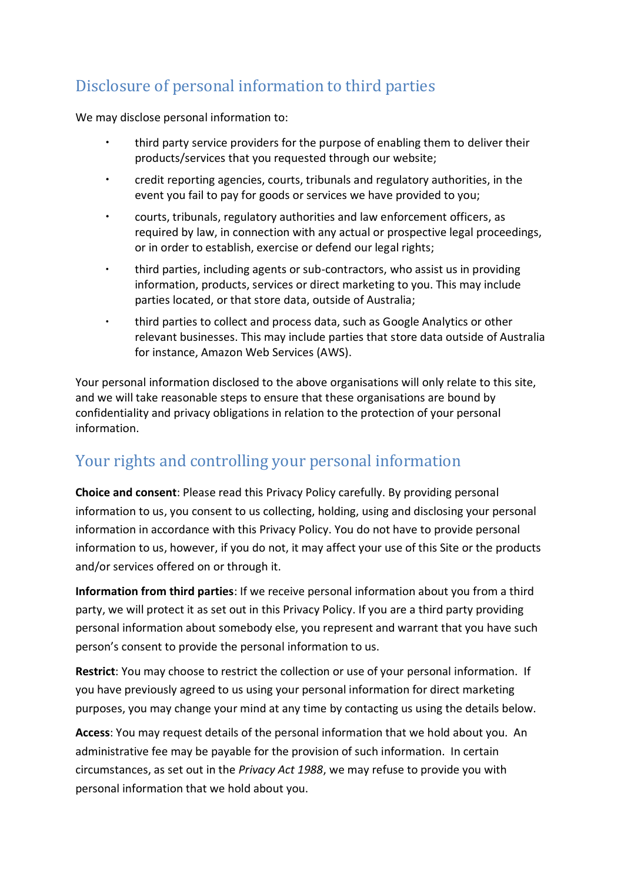# Disclosure of personal information to third parties

We may disclose personal information to:

- third party service providers for the purpose of enabling them to deliver their products/services that you requested through our website;
- credit reporting agencies, courts, tribunals and regulatory authorities, in the event you fail to pay for goods or services we have provided to you;
- courts, tribunals, regulatory authorities and law enforcement officers, as required by law, in connection with any actual or prospective legal proceedings, or in order to establish, exercise or defend our legal rights;
- third parties, including agents or sub-contractors, who assist us in providing information, products, services or direct marketing to you. This may include parties located, or that store data, outside of Australia;
- third parties to collect and process data, such as Google Analytics or other relevant businesses. This may include parties that store data outside of Australia for instance, Amazon Web Services (AWS).

Your personal information disclosed to the above organisations will only relate to this site, and we will take reasonable steps to ensure that these organisations are bound by confidentiality and privacy obligations in relation to the protection of your personal information.

### Your rights and controlling your personal information

**Choice and consent**: Please read this Privacy Policy carefully. By providing personal information to us, you consent to us collecting, holding, using and disclosing your personal information in accordance with this Privacy Policy. You do not have to provide personal information to us, however, if you do not, it may affect your use of this Site or the products and/or services offered on or through it.

**Information from third parties**: If we receive personal information about you from a third party, we will protect it as set out in this Privacy Policy. If you are a third party providing personal information about somebody else, you represent and warrant that you have such person's consent to provide the personal information to us.

**Restrict**: You may choose to restrict the collection or use of your personal information. If you have previously agreed to us using your personal information for direct marketing purposes, you may change your mind at any time by contacting us using the details below.

**Access**: You may request details of the personal information that we hold about you. An administrative fee may be payable for the provision of such information. In certain circumstances, as set out in the *Privacy Act 1988*, we may refuse to provide you with personal information that we hold about you.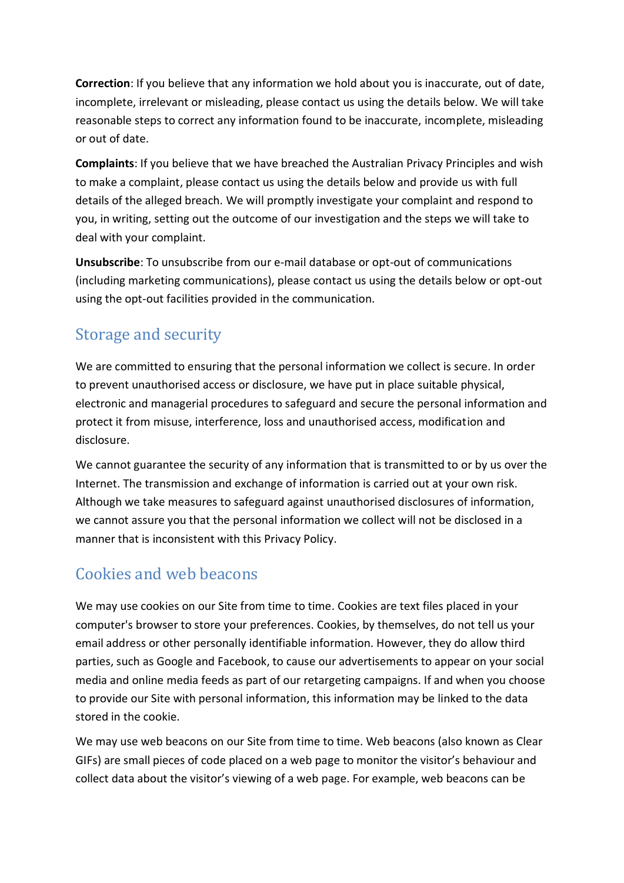**Correction**: If you believe that any information we hold about you is inaccurate, out of date, incomplete, irrelevant or misleading, please contact us using the details below. We will take reasonable steps to correct any information found to be inaccurate, incomplete, misleading or out of date.

**Complaints**: If you believe that we have breached the Australian Privacy Principles and wish to make a complaint, please contact us using the details below and provide us with full details of the alleged breach. We will promptly investigate your complaint and respond to you, in writing, setting out the outcome of our investigation and the steps we will take to deal with your complaint.

**Unsubscribe**: To unsubscribe from our e-mail database or opt-out of communications (including marketing communications), please contact us using the details below or opt-out using the opt-out facilities provided in the communication.

#### Storage and security

We are committed to ensuring that the personal information we collect is secure. In order to prevent unauthorised access or disclosure, we have put in place suitable physical, electronic and managerial procedures to safeguard and secure the personal information and protect it from misuse, interference, loss and unauthorised access, modification and disclosure.

We cannot guarantee the security of any information that is transmitted to or by us over the Internet. The transmission and exchange of information is carried out at your own risk. Although we take measures to safeguard against unauthorised disclosures of information, we cannot assure you that the personal information we collect will not be disclosed in a manner that is inconsistent with this Privacy Policy.

#### Cookies and web beacons

We may use cookies on our Site from time to time. Cookies are text files placed in your computer's browser to store your preferences. Cookies, by themselves, do not tell us your email address or other personally identifiable information. However, they do allow third parties, such as Google and Facebook, to cause our advertisements to appear on your social media and online media feeds as part of our retargeting campaigns. If and when you choose to provide our Site with personal information, this information may be linked to the data stored in the cookie.

We may use web beacons on our Site from time to time. Web beacons (also known as Clear GIFs) are small pieces of code placed on a web page to monitor the visitor's behaviour and collect data about the visitor's viewing of a web page. For example, web beacons can be